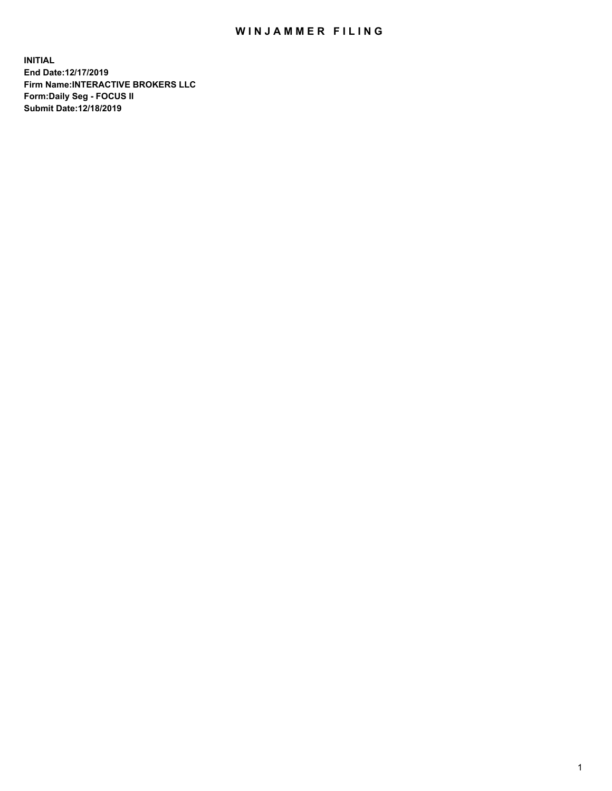## WIN JAMMER FILING

**INITIAL End Date:12/17/2019 Firm Name:INTERACTIVE BROKERS LLC Form:Daily Seg - FOCUS II Submit Date:12/18/2019**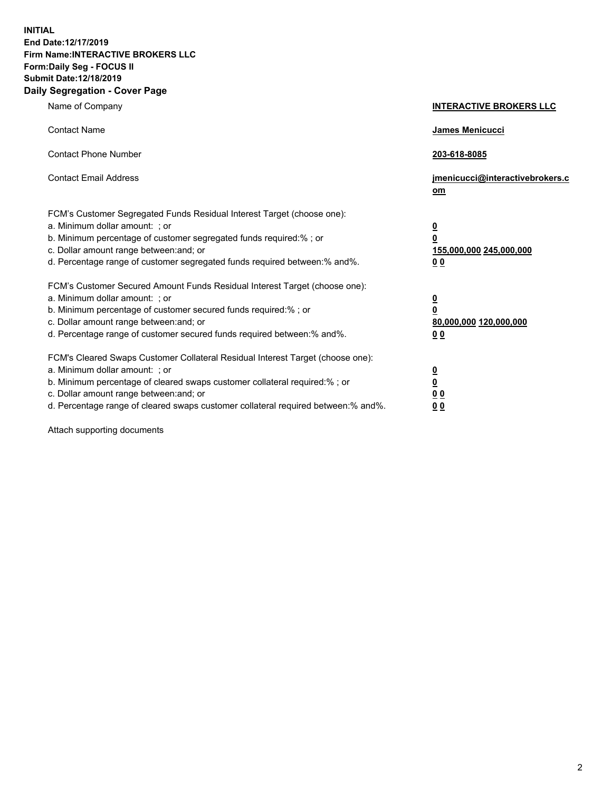**INITIAL End Date:12/17/2019 Firm Name:INTERACTIVE BROKERS LLC Form:Daily Seg - FOCUS II Submit Date:12/18/2019 Daily Segregation - Cover Page**

| Name of Company                                                                                                                                                                                                                                                                                                                | <b>INTERACTIVE BROKERS LLC</b>                                                                  |
|--------------------------------------------------------------------------------------------------------------------------------------------------------------------------------------------------------------------------------------------------------------------------------------------------------------------------------|-------------------------------------------------------------------------------------------------|
| <b>Contact Name</b>                                                                                                                                                                                                                                                                                                            | James Menicucci                                                                                 |
| <b>Contact Phone Number</b>                                                                                                                                                                                                                                                                                                    | 203-618-8085                                                                                    |
| <b>Contact Email Address</b>                                                                                                                                                                                                                                                                                                   | jmenicucci@interactivebrokers.c<br>om                                                           |
| FCM's Customer Segregated Funds Residual Interest Target (choose one):<br>a. Minimum dollar amount: ; or<br>b. Minimum percentage of customer segregated funds required:% ; or<br>c. Dollar amount range between: and; or<br>d. Percentage range of customer segregated funds required between:% and%.                         | $\overline{\mathbf{0}}$<br>$\overline{\mathbf{0}}$<br>155,000,000 245,000,000<br>0 <sub>0</sub> |
| FCM's Customer Secured Amount Funds Residual Interest Target (choose one):<br>a. Minimum dollar amount: ; or<br>b. Minimum percentage of customer secured funds required:%; or<br>c. Dollar amount range between: and; or<br>d. Percentage range of customer secured funds required between:% and%.                            | $\overline{\mathbf{0}}$<br>$\overline{\mathbf{0}}$<br>80,000,000 120,000,000<br>0 <sub>0</sub>  |
| FCM's Cleared Swaps Customer Collateral Residual Interest Target (choose one):<br>a. Minimum dollar amount: ; or<br>b. Minimum percentage of cleared swaps customer collateral required:% ; or<br>c. Dollar amount range between: and; or<br>d. Percentage range of cleared swaps customer collateral required between:% and%. | $\overline{\mathbf{0}}$<br>$\underline{\mathbf{0}}$<br>0 <sub>0</sub><br>0 <sub>0</sub>         |

Attach supporting documents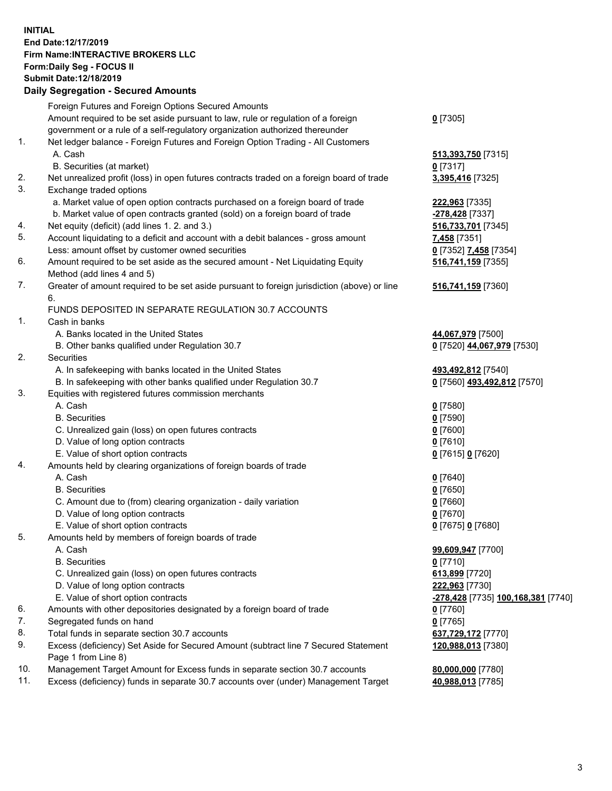## **INITIAL End Date:12/17/2019 Firm Name:INTERACTIVE BROKERS LLC Form:Daily Seg - FOCUS II Submit Date:12/18/2019 Daily Segregation - Secured Amounts**

|     | Daily Segregation - Secured Amounts                                                         |                                    |
|-----|---------------------------------------------------------------------------------------------|------------------------------------|
|     | Foreign Futures and Foreign Options Secured Amounts                                         |                                    |
|     | Amount required to be set aside pursuant to law, rule or regulation of a foreign            | $0$ [7305]                         |
|     | government or a rule of a self-regulatory organization authorized thereunder                |                                    |
| 1.  | Net ledger balance - Foreign Futures and Foreign Option Trading - All Customers             |                                    |
|     | A. Cash                                                                                     | 513,393,750 [7315]                 |
|     | B. Securities (at market)                                                                   | $0$ [7317]                         |
| 2.  | Net unrealized profit (loss) in open futures contracts traded on a foreign board of trade   | 3,395,416 [7325]                   |
| 3.  | Exchange traded options                                                                     |                                    |
|     | a. Market value of open option contracts purchased on a foreign board of trade              | 222,963 [7335]                     |
|     | b. Market value of open contracts granted (sold) on a foreign board of trade                | -278,428 [7337]                    |
| 4.  | Net equity (deficit) (add lines 1. 2. and 3.)                                               | 516,733,701 [7345]                 |
| 5.  | Account liquidating to a deficit and account with a debit balances - gross amount           | 7,458 [7351]                       |
|     | Less: amount offset by customer owned securities                                            | 0 [7352] 7,458 [7354]              |
| 6.  | Amount required to be set aside as the secured amount - Net Liquidating Equity              | 516,741,159 [7355]                 |
|     | Method (add lines 4 and 5)                                                                  |                                    |
| 7.  | Greater of amount required to be set aside pursuant to foreign jurisdiction (above) or line | 516,741,159 [7360]                 |
|     | 6.                                                                                          |                                    |
|     | FUNDS DEPOSITED IN SEPARATE REGULATION 30.7 ACCOUNTS                                        |                                    |
| 1.  | Cash in banks                                                                               |                                    |
|     | A. Banks located in the United States                                                       | 44,067,979 [7500]                  |
|     | B. Other banks qualified under Regulation 30.7                                              | 0 [7520] 44,067,979 [7530]         |
| 2.  | Securities                                                                                  |                                    |
|     | A. In safekeeping with banks located in the United States                                   | 493,492,812 [7540]                 |
|     | B. In safekeeping with other banks qualified under Regulation 30.7                          | 0 [7560] 493,492,812 [7570]        |
| 3.  | Equities with registered futures commission merchants                                       |                                    |
|     | A. Cash                                                                                     | $0$ [7580]                         |
|     | <b>B.</b> Securities                                                                        | $0$ [7590]                         |
|     | C. Unrealized gain (loss) on open futures contracts                                         | $0$ [7600]                         |
|     | D. Value of long option contracts                                                           | $0$ [7610]                         |
|     | E. Value of short option contracts                                                          | 0 [7615] 0 [7620]                  |
| 4.  | Amounts held by clearing organizations of foreign boards of trade                           |                                    |
|     | A. Cash                                                                                     | $0$ [7640]                         |
|     | <b>B.</b> Securities                                                                        | $0$ [7650]                         |
|     | C. Amount due to (from) clearing organization - daily variation                             | $0$ [7660]                         |
|     | D. Value of long option contracts                                                           | $0$ [7670]                         |
|     | E. Value of short option contracts                                                          | 0 [7675] 0 [7680]                  |
| 5.  | Amounts held by members of foreign boards of trade                                          |                                    |
|     | A. Cash                                                                                     | 99,609,947 [7700]                  |
|     | <b>B.</b> Securities                                                                        | $0$ [7710]                         |
|     | C. Unrealized gain (loss) on open futures contracts                                         | 613,899 [7720]                     |
|     | D. Value of long option contracts                                                           | 222,963 [7730]                     |
|     | E. Value of short option contracts                                                          | -278,428 [7735] 100,168,381 [7740] |
| 6.  | Amounts with other depositories designated by a foreign board of trade                      | $0$ [7760]                         |
| 7.  | Segregated funds on hand                                                                    | $0$ [7765]                         |
| 8.  | Total funds in separate section 30.7 accounts                                               | 637,729,172 [7770]                 |
| 9.  | Excess (deficiency) Set Aside for Secured Amount (subtract line 7 Secured Statement         | 120,988,013 [7380]                 |
|     | Page 1 from Line 8)                                                                         |                                    |
| 10. | Management Target Amount for Excess funds in separate section 30.7 accounts                 | 80,000,000 [7780]                  |
| 11. | Excess (deficiency) funds in separate 30.7 accounts over (under) Management Target          | 40,988,013 [7785]                  |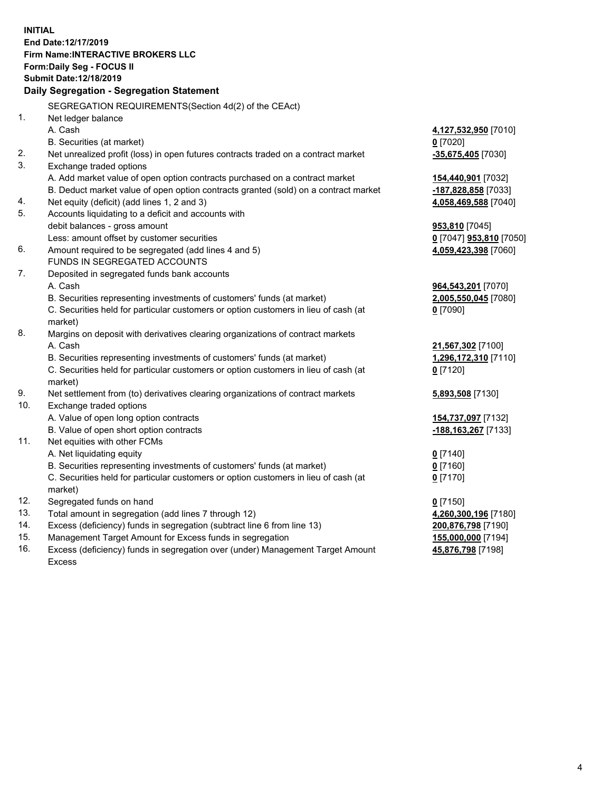**INITIAL End Date:12/17/2019 Firm Name:INTERACTIVE BROKERS LLC Form:Daily Seg - FOCUS II Submit Date:12/18/2019 Daily Segregation - Segregation Statement** SEGREGATION REQUIREMENTS(Section 4d(2) of the CEAct) 1. Net ledger balance A. Cash **4,127,532,950** [7010] B. Securities (at market) **0** [7020] 2. Net unrealized profit (loss) in open futures contracts traded on a contract market **-35,675,405** [7030] 3. Exchange traded options A. Add market value of open option contracts purchased on a contract market **154,440,901** [7032] B. Deduct market value of open option contracts granted (sold) on a contract market **-187,828,858** [7033] 4. Net equity (deficit) (add lines 1, 2 and 3) **4,058,469,588** [7040] 5. Accounts liquidating to a deficit and accounts with debit balances - gross amount **953,810** [7045] Less: amount offset by customer securities **0** [7047] **953,810** [7050] 6. Amount required to be segregated (add lines 4 and 5) **4,059,423,398** [7060] FUNDS IN SEGREGATED ACCOUNTS 7. Deposited in segregated funds bank accounts A. Cash **964,543,201** [7070] B. Securities representing investments of customers' funds (at market) **2,005,550,045** [7080] C. Securities held for particular customers or option customers in lieu of cash (at market) **0** [7090] 8. Margins on deposit with derivatives clearing organizations of contract markets A. Cash **21,567,302** [7100] B. Securities representing investments of customers' funds (at market) **1,296,172,310** [7110] C. Securities held for particular customers or option customers in lieu of cash (at market) **0** [7120] 9. Net settlement from (to) derivatives clearing organizations of contract markets **5,893,508** [7130] 10. Exchange traded options A. Value of open long option contracts **154,737,097** [7132] B. Value of open short option contracts **-188,163,267** [7133] 11. Net equities with other FCMs A. Net liquidating equity **0** [7140] B. Securities representing investments of customers' funds (at market) **0** [7160] C. Securities held for particular customers or option customers in lieu of cash (at market) **0** [7170] 12. Segregated funds on hand **0** [7150] 13. Total amount in segregation (add lines 7 through 12) **4,260,300,196** [7180] 14. Excess (deficiency) funds in segregation (subtract line 6 from line 13) **200,876,798** [7190] 15. Management Target Amount for Excess funds in segregation **155,000,000** [7194]

16. Excess (deficiency) funds in segregation over (under) Management Target Amount Excess

**45,876,798** [7198]